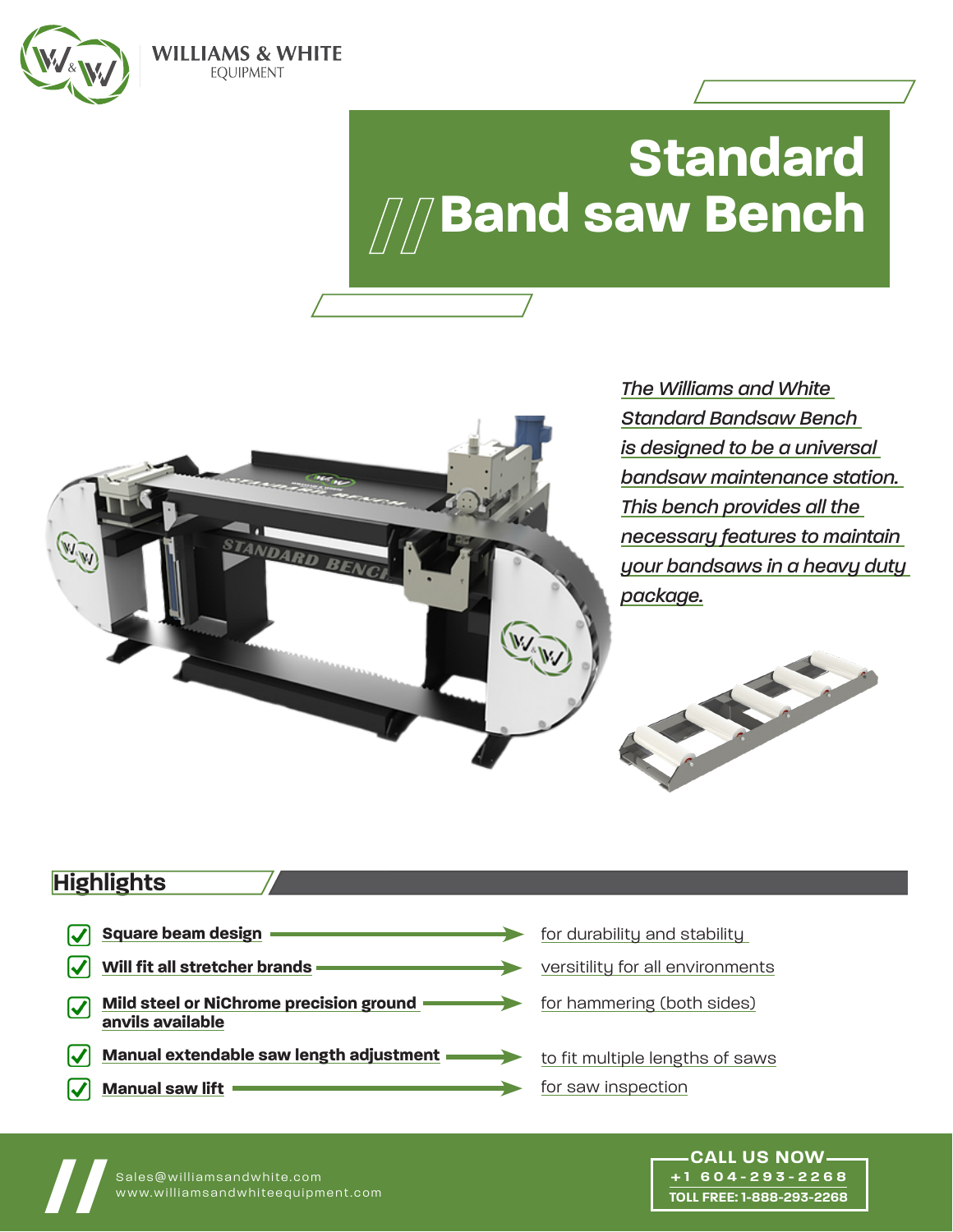

**WILLIAMS & WHITE EOUIPMENT** 

# **Standard Band saw Bench**



## **Highlights**

**Square beam design** V for durability and stability **Will fit all stretcher brands** V versitility for all environments **Mild steel or NiChrome precision ground**  for hammering (both sides) M **anvils available Manual extendable saw length adjustment** to fit multiple lengths of saws for saw inspection**Manual saw lift**



**+1 604-293-2268 TOLL FREE: 1-888-293-2268**